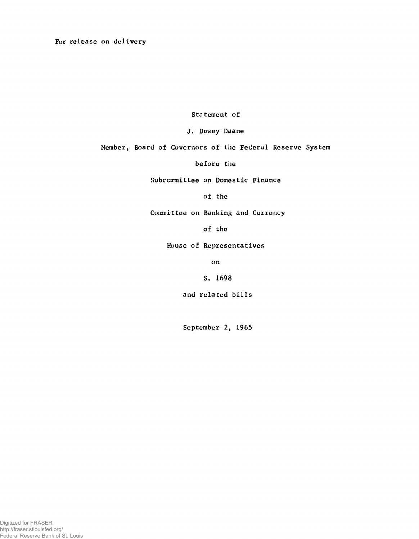For release on delivery

Statement of

J. Dewey Daane

Member, Board of Governors of the Federal Reserve System

before the

Subcommittee on Domestic Finance

of the

Committee on Banking and Currency

of the

House of Representatives

on

S. 1698

and related bills

September 2, 1965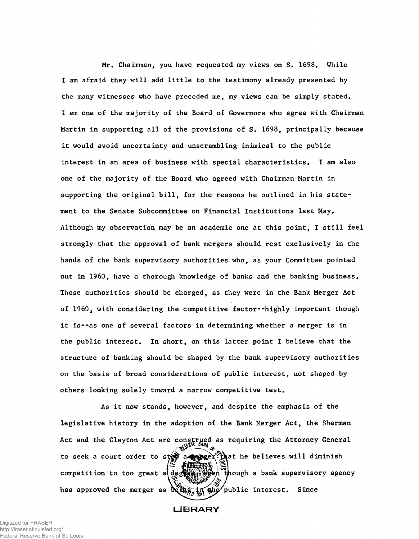Mr. Chairman, you have requested my views on S. 1698, While I am afraid they will add little to the testimony already presented by the many witnesses who have preceded me, my views can be simply stated. I am one of the majority of the Board of Governors who agree with Chairman Martin in supporting all of the provisions of S. 1698, principally because it would avoid uncertainty and unscrambling inimical to the public interest in an area of business with special characteristics. I am also one of the majority of the Board who agreed with Chairman Martin in supporting the original bill, for the reasons he outlined in his statement to the Senate Subcommittee on Financial Institutions last May. Although my observation may be an academic one at this point, I still feel strongly that the approval of bank mergers should rest exclusively in the hands of the bank supervisory authorities who, as your Committee pointed out in 1960, have a thorough knowledge of banks and the banking business. Those authorities should be charged, as they were in the Bank Merger Act of 1960, with considering the competitive factor--highly important though it is--as one of several factors in determining whether a merger is in the public interest. In short, on this latter point I believe that the structure of banking should be shaped by the bank supervisory authorities on the basis of broad considerations of public interest, not shaped by others looking solely toward a narrow competitive test.

As it now stands, however, and despite the emphasis of the legislative history in the adoption of the Bank Merger Act, the Sherman Act and the Clayton Act are construed as requiring the Attorney General to seek a court order to stor a green  $\mathbb{R}^k$  at he believes will diminish competition to too great al destermine  $\begin{pmatrix} -1 & 0 \\ 0 & -1 \end{pmatrix}$  and supervisory agency has approved the merger as  $\frac{1}{2}$  and  $\frac{1}{2}$  and  $\frac{1}{2}$  public interest. Since

**LIBRARY**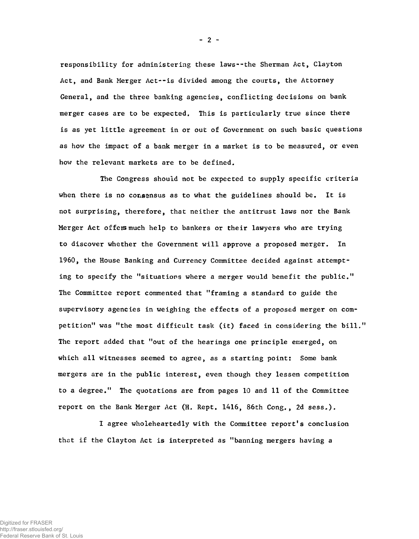responsibility for administering these laws--the Sherman Act, Clayton Act, and Bank Merger Act--is divided among the courts, the Attorney General, and the three banking agencies, conflicting decisions on bank merger cases are to be expected. This is particularly true since there is as yet little agreement in or out of Government on such basic questions as how the impact of a bank merger in a market is to be measured, or even how the relevant markets are to be defined.

The Congress should not be expected to supply specific criteria when there is no consensus as to what the guidelines should be. It is not surprising, therefore, that neither the antitrust laws nor the Bank Merger Act offers much help to bankers or their lawyers who are trying to discover whether the Government will approve a proposed merger. In 1960, the House Banking and Currency Committee decided against attempting to specify the "situations where a merger would benefit the public," The Committee report commented that "framing a standard to guide the supervisory agencies in weighing the effects of a proposed merger on competition" was "the most difficult task (it) faced in considering the bill," The report added that "out of the hearings one principle emerged, on which all witnesses seemed to agree, as a starting point: Some bank mergers are in the public interest, even though they lessen competition to a degree." The quotations are from pages 10 and 11 of the Committee report on the Bank Merger Act (H. Rept, 1416, 86th Cong., 2d sess.).

I agree wholeheartedly with the Committee report's conclusion that if the Clayton Act is interpreted as "banning mergers having a

 $- 2 -$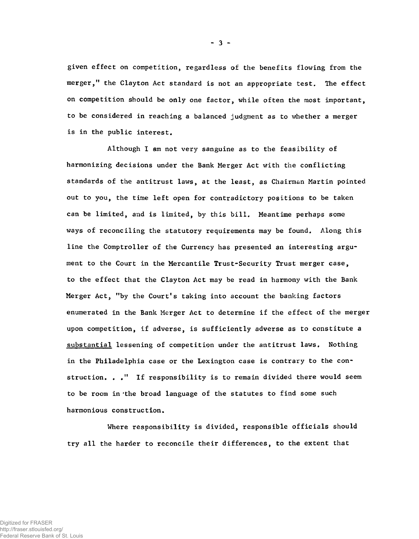given effect on competition, regardless of the benefits flowing from the merger," the Clayton Act standard is not an appropriate test. The effect on competition should be only one factor, while often the most important, to be considered in reaching a balanced judgment as to whether a merger is in the public interest.

Although I am not very sanguine as to the feasibility of harmonizing decisions under the Bank Merger Act with the conflicting standards of the antitrust laws, at the least, as Chairman Martin pointed out to you, the time left open for contradictory positions to be taken can be limited, and is limited, by this bill. Meantime perhaps some ways of reconciling the statutory requirements may be found. Along this line the Comptroller of the Currency has presented an interesting argument to the Court in the Mercantile Trust-Security Trust merger case, to the effect that the Clayton Act may be read in harmony with the Bank Merger Act, "by the Court's taking into account the banking factors enumerated in the Bank Merger Act to determine if the effect of the merger upon competition, if adverse, is sufficiently adverse as to constitute a substantial lessening of competition under the antitrust laws. Nothing in the Philadelphia case or the Lexington case is contrary to the construction. .." If responsibility is to remain divided there would seem to be room in 'the broad language of the statutes to find some such harmonious construction.

Where responsibility is divided, responsible officials should try all the harder to reconcile their differences, to the extent that

 $-3 -$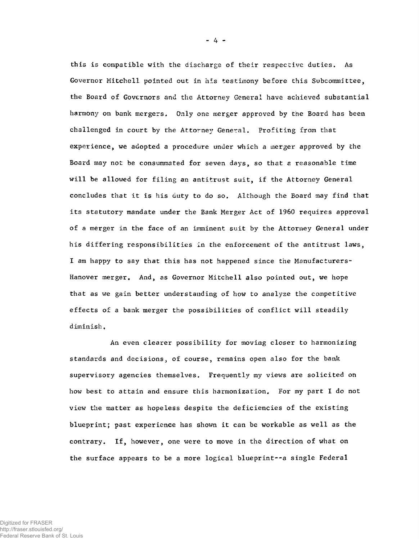this is compatible with the discharge of their respective duties. As Governor Mitchell pointed out in his testimony before this Subcommittee, the Board of Governors and the Attorney General have achieved substantial harmony on bank mergers, Only one merger approved by the Board has been challenged in court by the Attorney General, Profiting from that experience, we adopted a procedure under which a merger approved by the Board may not be consummated for seven days, so that a reasonable time will be allowed for filing an antitrust suit, if the Attorney General concludes that it is his duty to do so. Although the Board may find that its statutory mandate under the Bank Merger Act of 1960 requires approval of a merger in the face of an imminent suit by the Attorney General under his differing responsibilities in the enforcement of the antitrust laws, I am happy to say that this has not happened since the Manufacturers-Hanover merger. And, as Governor Mitchell also pointed out, we hope that as we gain better understanding of how to analyze the competitive effects of a bank merger the possibilities of conflict will steadily diminish,

An even clearer possibility for moving closer to harmonizing standards and decisions, of course, remains open also for the bank supervisory agencies themselves. Frequently my views are solicited on how best to attain and ensure this harmonization. For my part I do not view the matter as hopeless despite the deficiencies of the existing blueprint; past experience has shown it can be workable as well as the contrary. If, however, one were to move in the direction of what on the surface appears to be a more logical blueprint--a single Federal

- 4 -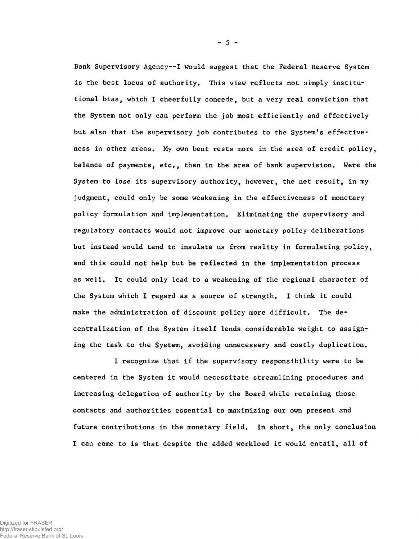Bank Supervisory Agency--I would suggest that the Federal Reserve System is the best locus of authority. This view reflects not simply institutional bias, which I cheerfully concede, but a very real conviction that the System not only can perform the job most efficiently and effectively but also that the supervisory job contributes to the System's effectiveness in other areas. My own bent rests more in the area of credit policy, balance of payments, etc., than in the area of bank supervision. Were the System to lose its supervisory authority, however, the net result, in my judgment, could only be some weakening in the effectiveness of monetary policy formulation and implementation. Eliminating the supervisory and regulatory contacts would not improve our monetary policy deliberations but instead would tend to insulate us from reality in formulating policy, and this could not help but be reflected in the implementation process as well. It could only lead to a weakening of the regional character of the System which I regard as a source of strength, I think it could make the administration of discount policy more difficult. The decentralization of the System itself lends considerable weight to assigning the task to the System, avoiding unnecessary and costly duplication.

I recognize that if the supervisory responsibility were to be centered in the System it would necessitate streamlining procedures and increasing delegation of authority by the Board while retaining those contacts and authorities essential to maximizing our own present and future contributions in the monetary field. In short, the only conclusion I can come to is that despite the added workload it would entail, all of

 $-5 -$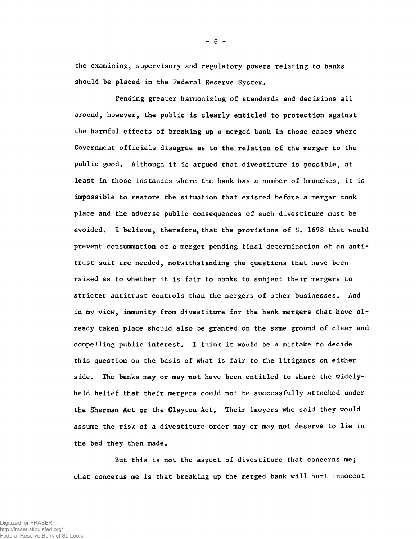the examining, supervisory and regulatory powers relating to banks should be placed in the Federal Reserve System,

Pending greater harmonizing of standards and decisions all around, however, the public is clearly entitled to protection against the harmful effects of breaking up a merged bank in those cases where Government officials disagree as to the relation of the merger to the public good. Although it is argued that divestiture is possible, at least in those instances where the bank has a number of branches, it is impossible to restore the situation that existed before a merger took place and the adverse public consequences of such divestiture must be avoided. I believe, therefore, that the provisions of S. 1698 that would prevent consummation of a merger pending final determination of an antitrust suit are needed, notwithstanding the questions that have been raised as to whether it is fair to banks to subject their mergers to stricter antitrust controls than the mergers of other businesses. And in my view, immunity from divestiture for the bank mergers that have already taken place should also be granted on the same ground of clear and compelling public interest. I think it would be a mistake to decide this question on the basis of what is fair to the litigants on either side. The banks may or may not have been entitled to share the widelyheld belief that their mergers could not be successfully attacked under the Sherman Act or the Clayton Act. Their lawyers who said they would assume the risk of a divestiture order may or may not deserve to lie in the bed they then made.

But this is not the aspect of divestiture that concerns me; what concerns me is that breaking up the merged bank will hurt innocent

- 6 -